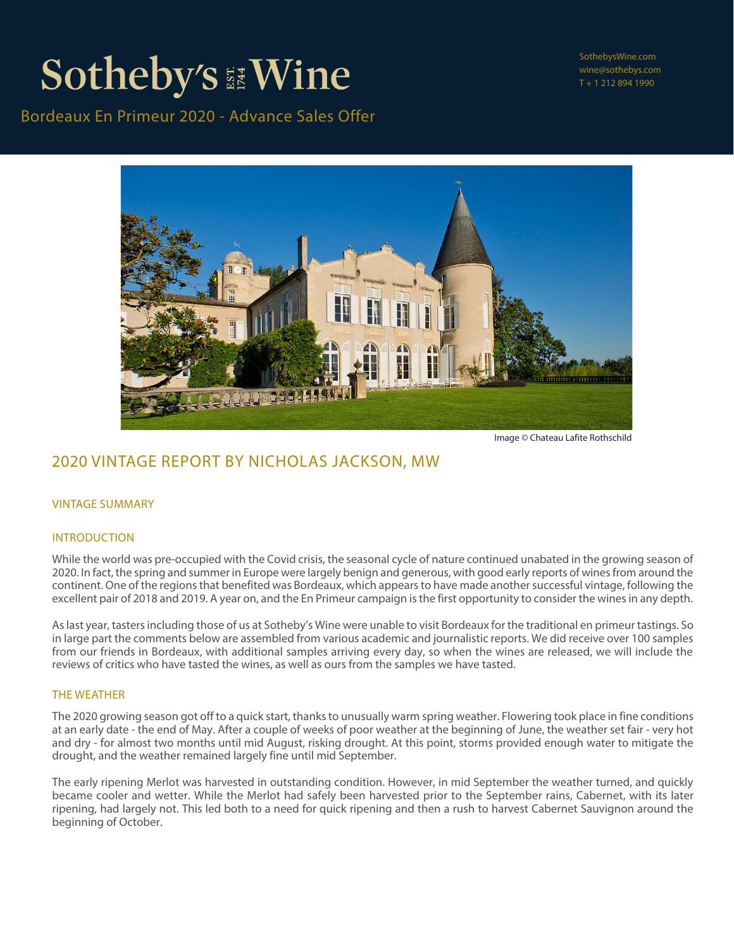Bordeaux En Primeur 2020 - Advance Sales Offer

SothebysWine.com wine@sothebys.com T + 1 212 894 1990



Image © Chateau Lafite Rothschild

### 2020 VINTAGE REPORT BY NICHOLAS JACKSON, MW

#### VINTAGE SUMMARY

#### INTRODUCTION

While the world was pre-occupied with the Covid crisis, the seasonal cycle of nature continued unabated in the growing season of 2020. In fact, the spring and summer in Europe were largely benign and generous, with good early reports of wines from around the continent. One of the regions that benefited was Bordeaux, which appears to have made another successful vintage, following the excellent pair of 2018 and 2019. A year on, and the En Primeur campaign is the first opportunity to consider the wines in any depth.

As last year, tasters including those of us at Sotheby's Wine were unable to visit Bordeaux for the traditional en primeur tastings. So in large part the comments below are assembled from various academic and journalistic reports. We did receive over 100 samples from our friends in Bordeaux, with additional samples arriving every day, so when the wines are released, we will include the reviews of critics who have tasted the wines, as well as ours from the samples we have tasted.

#### THE WEATHER

The 2020 growing season got off to a quick start, thanks to unusually warm spring weather. Flowering took place in fine conditions at an early date - the end of May. After a couple of weeks of poor weather at the beginning of June, the weather set fair - very hot and dry - for almost two months until mid August, risking drought. At this point, storms provided enough water to mitigate the drought, and the weather remained largely fine until mid September.

The early ripening Merlot was harvested in outstanding condition. However, in mid September the weather turned, and quickly became cooler and wetter. While the Merlot had safely been harvested prior to the September rains, Cabernet, with its later ripening, had largely not. This led both to a need for quick ripening and then a rush to harvest Cabernet Sauvignon around the beginning of October.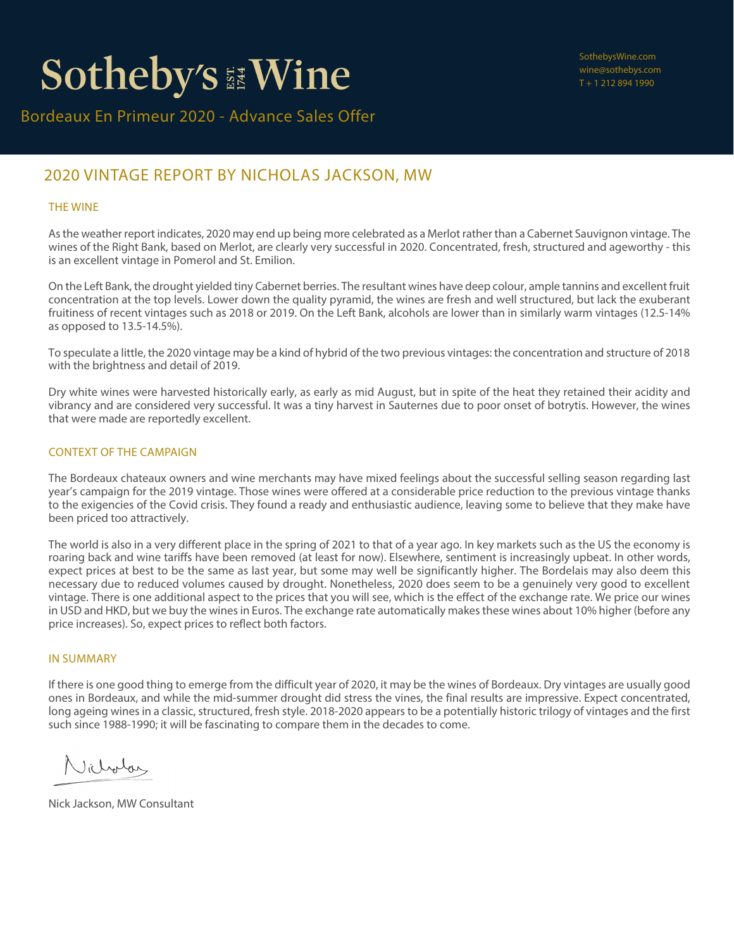### 2020 VINTAGE REPORT BY NICHOLAS JACKSON, MW

### THE WINE

As the weather report indicates, 2020 may end up being more celebrated as a Merlot rather than a Cabernet Sauvignon vintage. The wines of the Right Bank, based on Merlot, are clearly very successful in 2020. Concentrated, fresh, structured and ageworthy - this is an excellent vintage in Pomerol and St. Emilion.

On the Left Bank, the drought yielded tiny Cabernet berries. The resultant wines have deep colour, ample tannins and excellent fruit concentration at the top levels. Lower down the quality pyramid, the wines are fresh and well structured, but lack the exuberant fruitiness of recent vintages such as 2018 or 2019. On the Left Bank, alcohols are lower than in similarly warm vintages (12.5-14% as opposed to 13.5-14.5%).

To speculate a little, the 2020 vintage may be a kind of hybrid of the two previous vintages: the concentration and structure of 2018 with the brightness and detail of 2019.

Dry white wines were harvested historically early, as early as mid August, but in spite of the heat they retained their acidity and vibrancy and are considered very successful. It was a tiny harvest in Sauternes due to poor onset of botrytis. However, the wines that were made are reportedly excellent.

### CONTEXT OF THE CAMPAIGN

The Bordeaux chateaux owners and wine merchants may have mixed feelings about the successful selling season regarding last year's campaign for the 2019 vintage. Those wines were offered at a considerable price reduction to the previous vintage thanks to the exigencies of the Covid crisis. They found a ready and enthusiastic audience, leaving some to believe that they make have been priced too attractively.

The world is also in a very different place in the spring of 2021 to that of a year ago. In key markets such as the US the economy is roaring back and wine tariffs have been removed (at least for now). Elsewhere, sentiment is increasingly upbeat. In other words, expect prices at best to be the same as last year, but some may well be significantly higher. The Bordelais may also deem this necessary due to reduced volumes caused by drought. Nonetheless, 2020 does seem to be a genuinely very good to excellent vintage. There is one additional aspect to the prices that you will see, which is the effect of the exchange rate. We price our wines in USD and HKD, but we buy the wines in Euros. The exchange rate automatically makes these wines about 10% higher (before any price increases). So, expect prices to reflect both factors.

#### IN SUMMARY

If there is one good thing to emerge from the difficult year of 2020, it may be the wines of Bordeaux. Dry vintages are usually good ones in Bordeaux, and while the mid-summer drought did stress the vines, the final results are impressive. Expect concentrated, long ageing wines in a classic, structured, fresh style. 2018-2020 appears to be a potentially historic trilogy of vintages and the first such since 1988-1990; it will be fascinating to compare them in the decades to come.

Nicholas

Nick Jackson, MW Consultant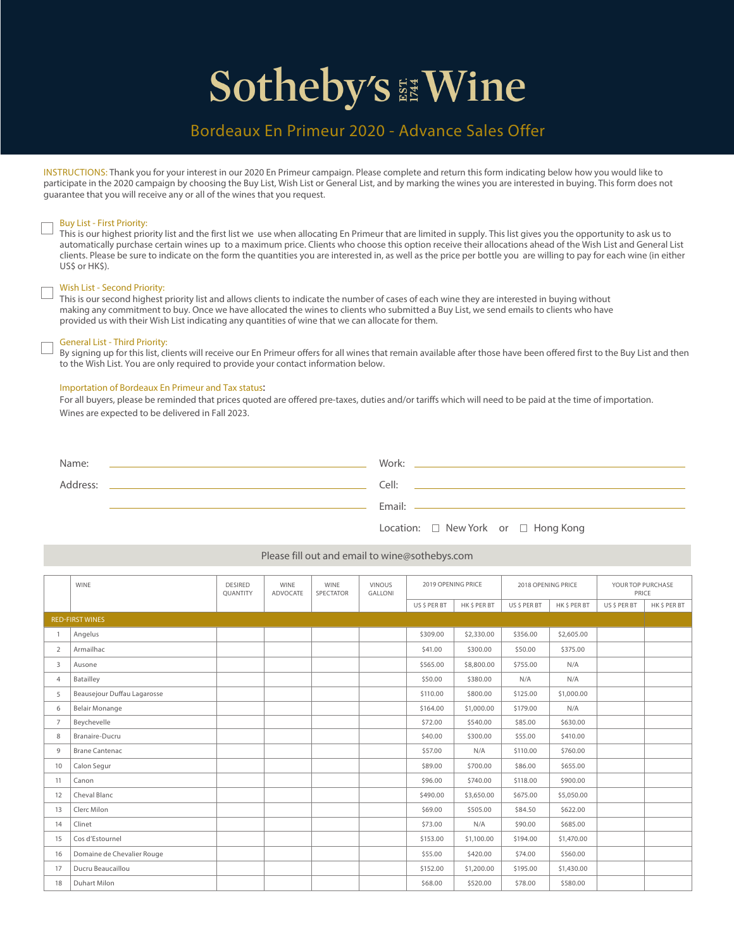### Bordeaux En Primeur 2020 - Advance Sales Offer

INSTRUCTIONS: Thank you for your interest in our 2020 En Primeur campaign. Please complete and return this form indicating below how you would like to participate in the 2020 campaign by choosing the Buy List, Wish List or General List, and by marking the wines you are interested in buying. This form does not guarantee that you will receive any or all of the wines that you request.

#### Buy List - First Priority:

This is our highest priority list and the first list we use when allocating En Primeur that are limited in supply. This list gives you the opportunity to ask us to automatically purchase certain wines up to a maximum price. Clients who choose this option receive their allocations ahead of the Wish List and General List clients. Please be sure to indicate on the form the quantities you are interested in, as well as the price per bottle you are willing to pay for each wine (in either US\$ or HK\$).

#### Wish List - Second Priority:

This is our second highest priority list and allows clients to indicate the number of cases of each wine they are interested in buying without making any commitment to buy. Once we have allocated the wines to clients who submitted a Buy List, we send emails to clients who have provided us with their Wish List indicating any quantities of wine that we can allocate for them.

#### General List - Third Priority:

By signing up for this list, clients will receive our En Primeur offers for all wines that remain available after those have been offered first to the Buy List and then to the Wish List. You are only required to provide your contact information below.

#### Importation of Bordeaux En Primeur and Tax status:

For all buyers, please be reminded that prices quoted are offered pre-taxes, duties and/or tariffs which will need to be paid at the time of importation. Wines are expected to be delivered in Fall 2023.

| Name:    | Work:  |
|----------|--------|
| Address: | Cell:  |
|          | Email: |

| Location: |  | New York |  |  | $\Box$ Hong Kong |  |
|-----------|--|----------|--|--|------------------|--|
|-----------|--|----------|--|--|------------------|--|

#### Please fill out and email to wine@sothebys.com

|                | <b>WINE</b>                 | <b>DESIRED</b><br><b>OUANTITY</b> | <b>WINE</b><br>ADVOCATE | <b>WINE</b><br>SPECTATOR | <b>VINOUS</b><br><b>GALLONI</b> | 2019 OPENING PRICE |              | 2018 OPENING PRICE |              | YOUR TOP PURCHASE<br>PRICE |              |
|----------------|-----------------------------|-----------------------------------|-------------------------|--------------------------|---------------------------------|--------------------|--------------|--------------------|--------------|----------------------------|--------------|
|                |                             |                                   |                         |                          |                                 | US \$ PER BT       | HK \$ PER BT | US \$ PER BT       | HK \$ PER BT | US \$ PER BT               | HK \$ PER BT |
|                | <b>RED-FIRST WINES</b>      |                                   |                         |                          |                                 |                    |              |                    |              |                            |              |
|                | Angelus                     |                                   |                         |                          |                                 | \$309.00           | \$2,330.00   | \$356.00           | \$2,605.00   |                            |              |
| $\overline{2}$ | Armailhac                   |                                   |                         |                          |                                 | \$41.00            | \$300.00     | \$50.00            | \$375.00     |                            |              |
| 3              | Ausone                      |                                   |                         |                          |                                 | \$565.00           | \$8,800.00   | \$755.00           | N/A          |                            |              |
| $\overline{4}$ | Batailley                   |                                   |                         |                          |                                 | \$50.00            | \$380.00     | N/A                | N/A          |                            |              |
| 5              | Beausejour Duffau Lagarosse |                                   |                         |                          |                                 | \$110.00           | \$800.00     | \$125.00           | \$1,000.00   |                            |              |
| 6              | <b>Belair Monange</b>       |                                   |                         |                          |                                 | \$164.00           | \$1,000.00   | \$179.00           | N/A          |                            |              |
|                | Beychevelle                 |                                   |                         |                          |                                 | \$72.00            | \$540.00     | \$85.00            | \$630.00     |                            |              |
| 8              | Branaire-Ducru              |                                   |                         |                          |                                 | \$40.00            | \$300.00     | \$55.00            | \$410.00     |                            |              |
| 9              | <b>Brane Cantenac</b>       |                                   |                         |                          |                                 | \$57.00            | N/A          | \$110.00           | \$760.00     |                            |              |
| 10             | Calon Segur                 |                                   |                         |                          |                                 | \$89.00            | \$700.00     | \$86.00            | \$655.00     |                            |              |
| 11             | Canon                       |                                   |                         |                          |                                 | \$96.00            | \$740.00     | \$118.00           | \$900.00     |                            |              |
| 12             | Cheval Blanc                |                                   |                         |                          |                                 | \$490.00           | \$3,650.00   | \$675.00           | \$5,050.00   |                            |              |
| 13             | Clerc Milon                 |                                   |                         |                          |                                 | \$69.00            | \$505.00     | \$84.50            | \$622.00     |                            |              |
| 14             | Clinet                      |                                   |                         |                          |                                 | \$73.00            | N/A          | \$90.00            | \$685.00     |                            |              |
| 15             | Cos d'Estournel             |                                   |                         |                          |                                 | \$153.00           | \$1,100.00   | \$194.00           | \$1,470.00   |                            |              |
| 16             | Domaine de Chevalier Rouge  |                                   |                         |                          |                                 | \$55.00            | \$420.00     | \$74.00            | \$560.00     |                            |              |
| 17             | Ducru Beaucaillou           |                                   |                         |                          |                                 | \$152.00           | \$1,200.00   | \$195.00           | \$1,430.00   |                            |              |
| 18             | <b>Duhart Milon</b>         |                                   |                         |                          |                                 | \$68.00            | \$520.00     | \$78.00            | \$580.00     |                            |              |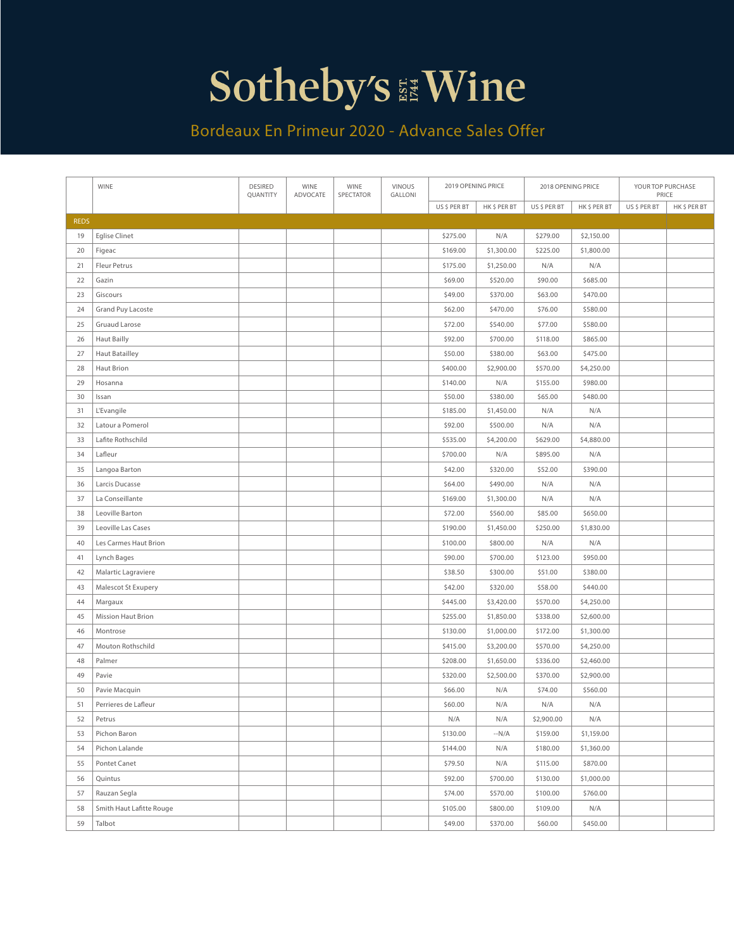### Bordeaux En Primeur 2020 - Advance Sales Offer

|             | WINE                      | DESIRED<br>QUANTITY | WINE<br>ADVOCATE | WINE<br>SPECTATOR | <b>VINOUS</b><br>GALLONI | 2019 OPENING PRICE |              | 2018 OPENING PRICE |              | YOUR TOP PURCHASE<br>PRICE |              |
|-------------|---------------------------|---------------------|------------------|-------------------|--------------------------|--------------------|--------------|--------------------|--------------|----------------------------|--------------|
|             |                           |                     |                  |                   |                          | US\$PERBT          | HK \$ PER BT | US\$PERBT          | HK \$ PER BT | US \$ PER BT               | HK \$ PER BT |
| <b>REDS</b> |                           |                     |                  |                   |                          |                    |              |                    |              |                            |              |
| 19          | <b>Eglise Clinet</b>      |                     |                  |                   |                          | \$275.00           | N/A          | \$279.00           | \$2,150.00   |                            |              |
| 20          | Figeac                    |                     |                  |                   |                          | \$169.00           | \$1,300.00   | \$225.00           | \$1,800.00   |                            |              |
| 21          | Fleur Petrus              |                     |                  |                   |                          | \$175.00           | \$1,250.00   | N/A                | N/A          |                            |              |
| 22          | Gazin                     |                     |                  |                   |                          | \$69.00            | \$520.00     | \$90.00            | \$685.00     |                            |              |
| 23          | Giscours                  |                     |                  |                   |                          | \$49.00            | \$370.00     | \$63.00            | \$470.00     |                            |              |
| 24          | Grand Puy Lacoste         |                     |                  |                   |                          | \$62.00            | \$470.00     | \$76.00            | \$580.00     |                            |              |
| 25          | Gruaud Larose             |                     |                  |                   |                          | \$72.00            | \$540.00     | \$77.00            | \$580.00     |                            |              |
| 26          | <b>Haut Bailly</b>        |                     |                  |                   |                          | \$92.00            | \$700.00     | \$118.00           | \$865.00     |                            |              |
| 27          | <b>Haut Batailley</b>     |                     |                  |                   |                          | \$50.00            | \$380.00     | \$63.00            | \$475.00     |                            |              |
| 28          | Haut Brion                |                     |                  |                   |                          | \$400.00           | \$2,900.00   | \$570.00           | \$4,250.00   |                            |              |
| 29          | Hosanna                   |                     |                  |                   |                          | \$140.00           | N/A          | \$155.00           | \$980.00     |                            |              |
| 30          | Issan                     |                     |                  |                   |                          | \$50.00            | \$380.00     | \$65.00            | \$480.00     |                            |              |
| 31          | L'Evangile                |                     |                  |                   |                          | \$185.00           | \$1,450.00   | N/A                | N/A          |                            |              |
| 32          | Latour a Pomerol          |                     |                  |                   |                          | \$92.00            | \$500.00     | N/A                | N/A          |                            |              |
| 33          | Lafite Rothschild         |                     |                  |                   |                          | \$535.00           | \$4,200.00   | \$629.00           | \$4,880.00   |                            |              |
| 34          | Lafleur                   |                     |                  |                   |                          | \$700.00           | N/A          | \$895.00           | N/A          |                            |              |
| 35          | Langoa Barton             |                     |                  |                   |                          | \$42.00            | \$320.00     | \$52.00            | \$390.00     |                            |              |
| 36          | Larcis Ducasse            |                     |                  |                   |                          | \$64.00            | \$490.00     | N/A                | N/A          |                            |              |
| 37          | La Conseillante           |                     |                  |                   |                          | \$169.00           | \$1,300.00   | N/A                | N/A          |                            |              |
| 38          | Leoville Barton           |                     |                  |                   |                          | \$72.00            | \$560.00     | \$85.00            | \$650.00     |                            |              |
| 39          | Leoville Las Cases        |                     |                  |                   |                          | \$190.00           | \$1,450.00   | \$250.00           | \$1,830.00   |                            |              |
| 40          | Les Carmes Haut Brion     |                     |                  |                   |                          | \$100.00           | \$800.00     | N/A                | N/A          |                            |              |
| 41          | Lynch Bages               |                     |                  |                   |                          | \$90.00            | \$700.00     | \$123.00           | \$950.00     |                            |              |
| 42          | Malartic Lagraviere       |                     |                  |                   |                          | \$38.50            | \$300.00     | \$51.00            | \$380.00     |                            |              |
| 43          | Malescot St Exupery       |                     |                  |                   |                          | \$42.00            | \$320.00     | \$58.00            | \$440.00     |                            |              |
| 44          | Margaux                   |                     |                  |                   |                          | \$445.00           | \$3,420.00   | \$570.00           | \$4,250.00   |                            |              |
| 45          | <b>Mission Haut Brion</b> |                     |                  |                   |                          | \$255.00           | \$1,850.00   | \$338.00           | \$2,600.00   |                            |              |
| 46          | Montrose                  |                     |                  |                   |                          | \$130.00           | \$1,000.00   | \$172.00           | \$1,300.00   |                            |              |
| 47          | Mouton Rothschild         |                     |                  |                   |                          | \$415.00           | \$3,200.00   | \$570.00           | \$4,250.00   |                            |              |
| 48          | Palmer                    |                     |                  |                   |                          | \$208.00           | \$1,650.00   | \$336.00           | \$2,460.00   |                            |              |
| 49          | Pavie                     |                     |                  |                   |                          | \$320.00           | \$2,500.00   | \$370.00           | \$2,900.00   |                            |              |
| 50          | Pavie Macquin             |                     |                  |                   |                          | \$66.00            | N/A          | \$74.00            | \$560.00     |                            |              |
| 51          | Perrieres de Lafleur      |                     |                  |                   |                          | \$60.00            | N/A          | N/A                | N/A          |                            |              |
| 52          | Petrus                    |                     |                  |                   |                          | N/A                | N/A          | \$2,900.00         | N/A          |                            |              |
| 53          | Pichon Baron              |                     |                  |                   |                          | \$130.00           | $-N/A$       | \$159.00           | \$1,159.00   |                            |              |
| 54          | Pichon Lalande            |                     |                  |                   |                          | \$144.00           | N/A          | \$180.00           | \$1,360.00   |                            |              |
| 55          | Pontet Canet              |                     |                  |                   |                          | \$79.50            | N/A          | \$115.00           | \$870.00     |                            |              |
| 56          | Quintus                   |                     |                  |                   |                          | \$92.00            | \$700.00     | \$130.00           | \$1,000.00   |                            |              |
| 57          | Rauzan Segla              |                     |                  |                   |                          | \$74.00            | \$570.00     | \$100.00           | \$760.00     |                            |              |
| 58          | Smith Haut Lafitte Rouge  |                     |                  |                   |                          | \$105.00           | \$800.00     | \$109.00           | N/A          |                            |              |
| 59          | Talbot                    |                     |                  |                   |                          | \$49.00            | \$370.00     | \$60.00            | \$450.00     |                            |              |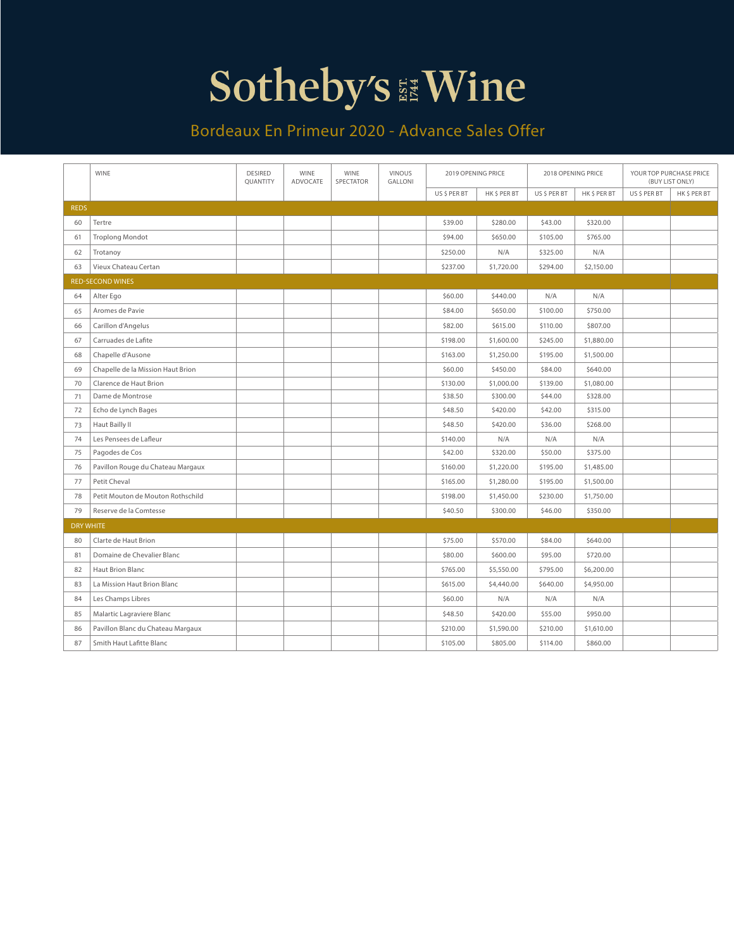### Bordeaux En Primeur 2020 - Advance Sales Offer

|                  | <b>WINE</b>                       | <b>DESIRED</b><br>QUANTITY | <b>WINE</b><br>ADVOCATE | <b>WINE</b> | <b>VINOUS</b><br>SPECTATOR<br>GALLONI |              | 2019 OPENING PRICE | 2018 OPENING PRICE |            |              | YOUR TOP PURCHASE PRICE<br>(BUY LIST ONLY) |
|------------------|-----------------------------------|----------------------------|-------------------------|-------------|---------------------------------------|--------------|--------------------|--------------------|------------|--------------|--------------------------------------------|
|                  |                                   |                            |                         |             |                                       | US \$ PER BT | HK\$PERBT          | US \$ PER BT       | HK\$PERBT  | US \$ PER BT | HK\$PERBT                                  |
| <b>REDS</b>      |                                   |                            |                         |             |                                       |              |                    |                    |            |              |                                            |
| 60               | Tertre                            |                            |                         |             |                                       | \$39.00      | \$280.00           | \$43.00            | \$320.00   |              |                                            |
| 61               | <b>Troplong Mondot</b>            |                            |                         |             |                                       | \$94.00      | \$650.00           | \$105.00           | \$765.00   |              |                                            |
| 62               | Trotanoy                          |                            |                         |             |                                       | \$250.00     | N/A                | \$325.00           | N/A        |              |                                            |
| 63               | Vieux Chateau Certan              |                            |                         |             |                                       | \$237.00     | \$1,720.00         | \$294.00           | \$2,150.00 |              |                                            |
|                  | <b>RED-SECOND WINES</b>           |                            |                         |             |                                       |              |                    |                    |            |              |                                            |
| 64               | Alter Ego                         |                            |                         |             |                                       | \$60.00      | \$440.00           | N/A                | N/A        |              |                                            |
| 65               | Aromes de Pavie                   |                            |                         |             |                                       | \$84.00      | \$650.00           | \$100.00           | \$750.00   |              |                                            |
| 66               | Carillon d'Angelus                |                            |                         |             |                                       | \$82.00      | \$615.00           | \$110.00           | \$807.00   |              |                                            |
| 67               | Carruades de Lafite               |                            |                         |             |                                       | \$198.00     | \$1,600.00         | \$245.00           | \$1,880.00 |              |                                            |
| 68               | Chapelle d'Ausone                 |                            |                         |             |                                       | \$163.00     | \$1,250.00         | \$195.00           | \$1,500.00 |              |                                            |
| 69               | Chapelle de la Mission Haut Brion |                            |                         |             |                                       | \$60.00      | \$450.00           | \$84.00            | \$640.00   |              |                                            |
| 70               | Clarence de Haut Brion            |                            |                         |             |                                       | \$130.00     | \$1,000.00         | \$139.00           | \$1,080.00 |              |                                            |
| 71               | Dame de Montrose                  |                            |                         |             |                                       | \$38.50      | \$300.00           | \$44.00            | \$328.00   |              |                                            |
| 72               | Echo de Lynch Bages               |                            |                         |             |                                       | \$48.50      | \$420.00           | \$42.00            | \$315.00   |              |                                            |
| 73               | Haut Bailly II                    |                            |                         |             |                                       | \$48.50      | \$420.00           | \$36.00            | \$268.00   |              |                                            |
| 74               | Les Pensees de Lafleur            |                            |                         |             |                                       | \$140.00     | N/A                | N/A                | N/A        |              |                                            |
| 75               | Pagodes de Cos                    |                            |                         |             |                                       | \$42.00      | \$320.00           | \$50.00            | \$375.00   |              |                                            |
| 76               | Pavillon Rouge du Chateau Margaux |                            |                         |             |                                       | \$160.00     | \$1,220.00         | \$195.00           | \$1,485.00 |              |                                            |
| 77               | Petit Cheval                      |                            |                         |             |                                       | \$165.00     | \$1,280.00         | \$195.00           | \$1,500.00 |              |                                            |
| 78               | Petit Mouton de Mouton Rothschild |                            |                         |             |                                       | \$198.00     | \$1,450.00         | \$230.00           | \$1,750.00 |              |                                            |
| 79               | Reserve de la Comtesse            |                            |                         |             |                                       | \$40.50      | \$300.00           | \$46.00            | \$350.00   |              |                                            |
| <b>DRY WHITE</b> |                                   |                            |                         |             |                                       |              |                    |                    |            |              |                                            |
| 80               | Clarte de Haut Brion              |                            |                         |             |                                       | \$75.00      | \$570.00           | \$84.00            | \$640.00   |              |                                            |
| 81               | Domaine de Chevalier Blanc        |                            |                         |             |                                       | \$80.00      | \$600.00           | \$95.00            | \$720.00   |              |                                            |
| 82               | Haut Brion Blanc                  |                            |                         |             |                                       | \$765.00     | \$5,550.00         | \$795.00           | \$6,200.00 |              |                                            |
| 83               | La Mission Haut Brion Blanc       |                            |                         |             |                                       | \$615.00     | \$4,440.00         | \$640.00           | \$4,950.00 |              |                                            |
| 84               | Les Champs Libres                 |                            |                         |             |                                       | \$60.00      | N/A                | N/A                | N/A        |              |                                            |
| 85               | Malartic Lagraviere Blanc         |                            |                         |             |                                       | \$48.50      | \$420.00           | \$55.00            | \$950.00   |              |                                            |
| 86               | Pavillon Blanc du Chateau Margaux |                            |                         |             |                                       | \$210.00     | \$1,590.00         | \$210.00           | \$1,610.00 |              |                                            |
| 87               | Smith Haut Lafitte Blanc          |                            |                         |             |                                       | \$105.00     | \$805.00           | \$114.00           | \$860.00   |              |                                            |